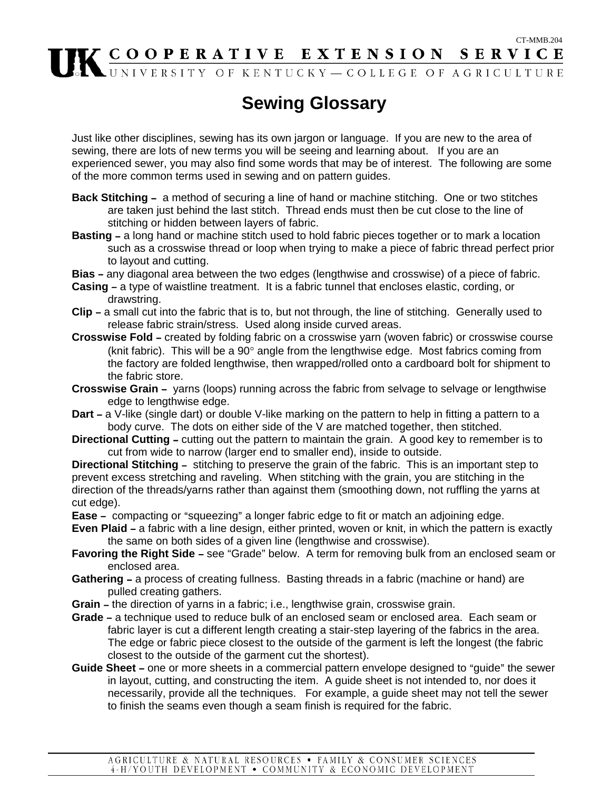## CT-MMB.204 COOPERATIVE EXTENSION SERVICE

## **Sewing Glossary**

Just like other disciplines, sewing has its own jargon or language. If you are new to the area of sewing, there are lots of new terms you will be seeing and learning about. If you are an experienced sewer, you may also find some words that may be of interest. The following are some of the more common terms used in sewing and on pattern guides.

- **Back Stitching -** a method of securing a line of hand or machine stitching. One or two stitches are taken just behind the last stitch. Thread ends must then be cut close to the line of stitching or hidden between layers of fabric.
- **Basting a long hand or machine stitch used to hold fabric pieces together or to mark a location** such as a crosswise thread or loop when trying to make a piece of fabric thread perfect prior to layout and cutting.
- **Bias** any diagonal area between the two edges (lengthwise and crosswise) of a piece of fabric.
- **Casing a type of waistline treatment. It is a fabric tunnel that encloses elastic, cording, or** drawstring.
- **Clip** a small cut into the fabric that is to, but not through, the line of stitching. Generally used to release fabric strain/stress. Used along inside curved areas.
- **Crosswise Fold** created by folding fabric on a crosswise yarn (woven fabric) or crosswise course (knit fabric). This will be a 90° angle from the lengthwise edge. Most fabrics coming from the factory are folded lengthwise, then wrapped/rolled onto a cardboard bolt for shipment to the fabric store.
- **Crosswise Grain -** yarns (loops) running across the fabric from selvage to selvage or lengthwise edge to lengthwise edge.
- **Dart a** V-like (single dart) or double V-like marking on the pattern to help in fitting a pattern to a body curve. The dots on either side of the V are matched together, then stitched.
- **Directional Cutting -** cutting out the pattern to maintain the grain. A good key to remember is to cut from wide to narrow (larger end to smaller end), inside to outside.

**Directional Stitching -** stitching to preserve the grain of the fabric. This is an important step to prevent excess stretching and raveling. When stitching with the grain, you are stitching in the direction of the threads/yarns rather than against them (smoothing down, not ruffling the yarns at cut edge).

**Ease -** compacting or "squeezing" a longer fabric edge to fit or match an adjoining edge.

- **Even Plaid -** a fabric with a line design, either printed, woven or knit, in which the pattern is exactly the same on both sides of a given line (lengthwise and crosswise).
- **Favoring the Right Side see "Grade" below.** A term for removing bulk from an enclosed seam or enclosed area.
- **Gathering a process of creating fullness. Basting threads in a fabric (machine or hand) are** pulled creating gathers.
- **Grain -** the direction of yarns in a fabric; i.e., lengthwise grain, crosswise grain.
- **Grade** a technique used to reduce bulk of an enclosed seam or enclosed area. Each seam or fabric layer is cut a different length creating a stair-step layering of the fabrics in the area. The edge or fabric piece closest to the outside of the garment is left the longest (the fabric closest to the outside of the garment cut the shortest).
- **Guide Sheet** one or more sheets in a commercial pattern envelope designed to "guide" the sewer in layout, cutting, and constructing the item. A guide sheet is not intended to, nor does it necessarily, provide all the techniques. For example, a guide sheet may not tell the sewer to finish the seams even though a seam finish is required for the fabric.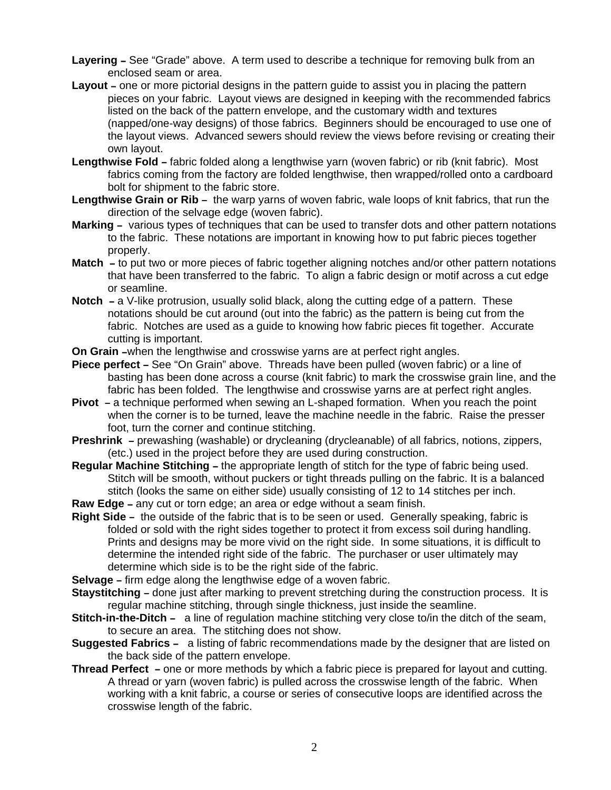- **Layering See "Grade" above.** A term used to describe a technique for removing bulk from an enclosed seam or area.
- **Layout –** one or more pictorial designs in the pattern guide to assist you in placing the pattern pieces on your fabric. Layout views are designed in keeping with the recommended fabrics listed on the back of the pattern envelope, and the customary width and textures (napped/one-way designs) of those fabrics. Beginners should be encouraged to use one of the layout views. Advanced sewers should review the views before revising or creating their own layout.
- **Lengthwise Fold fabric folded along a lengthwise yarn (woven fabric) or rib (knit fabric). Most** fabrics coming from the factory are folded lengthwise, then wrapped/rolled onto a cardboard bolt for shipment to the fabric store.
- **Lengthwise Grain or Rib -** the warp yarns of woven fabric, wale loops of knit fabrics, that run the direction of the selvage edge (woven fabric).
- **Marking –** various types of techniques that can be used to transfer dots and other pattern notations to the fabric. These notations are important in knowing how to put fabric pieces together properly.
- **Match** to put two or more pieces of fabric together aligning notches and/or other pattern notations that have been transferred to the fabric. To align a fabric design or motif across a cut edge or seamline.
- **Notch** a V-like protrusion, usually solid black, along the cutting edge of a pattern. These notations should be cut around (out into the fabric) as the pattern is being cut from the fabric. Notches are used as a guide to knowing how fabric pieces fit together. Accurate cutting is important.
- **On Grain** -when the lengthwise and crosswise yarns are at perfect right angles.
- **Piece perfect -** See "On Grain" above. Threads have been pulled (woven fabric) or a line of basting has been done across a course (knit fabric) to mark the crosswise grain line, and the fabric has been folded. The lengthwise and crosswise yarns are at perfect right angles.
- **Pivot** a technique performed when sewing an L-shaped formation. When you reach the point when the corner is to be turned, leave the machine needle in the fabric. Raise the presser foot, turn the corner and continue stitching.
- **Preshrink** prewashing (washable) or drycleaning (drycleanable) of all fabrics, notions, zippers, (etc.) used in the project before they are used during construction.
- **Regular Machine Stitching the appropriate length of stitch for the type of fabric being used.** Stitch will be smooth, without puckers or tight threads pulling on the fabric. It is a balanced stitch (looks the same on either side) usually consisting of 12 to 14 stitches per inch.
- **Raw Edge** any cut or torn edge; an area or edge without a seam finish.
- **Right Side** the outside of the fabric that is to be seen or used. Generally speaking, fabric is folded or sold with the right sides together to protect it from excess soil during handling. Prints and designs may be more vivid on the right side. In some situations, it is difficult to determine the intended right side of the fabric. The purchaser or user ultimately may determine which side is to be the right side of the fabric.
- **Selvage** firm edge along the lengthwise edge of a woven fabric.
- **Staystitching –** done just after marking to prevent stretching during the construction process. It is regular machine stitching, through single thickness, just inside the seamline.
- **Stitch-in-the-Ditch -** a line of regulation machine stitching very close to/in the ditch of the seam, to secure an area. The stitching does not show.
- **Suggested Fabrics -** a listing of fabric recommendations made by the designer that are listed on the back side of the pattern envelope.
- **Thread Perfect** one or more methods by which a fabric piece is prepared for layout and cutting. A thread or yarn (woven fabric) is pulled across the crosswise length of the fabric. When working with a knit fabric, a course or series of consecutive loops are identified across the crosswise length of the fabric.